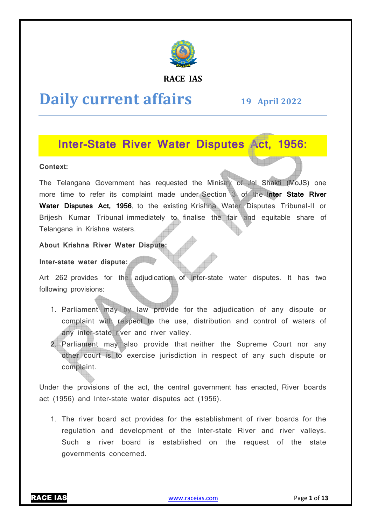

#### **RACE IAS**

# **Daily current affairs**

**19 April April 2022** 

### **Inter-State River Water Disputes Act, 1956: State**

#### **Context:**

The Telangana Government has requested the Ministry of Jal Shakti (MoJS) one more time to refer its complaint made under Section 3 of the Inter State River Water Disputes Act, 1956, to the existing Krishna Water Disputes Tribunal-II or Brijesh Kumar Tribunal immediately to finalise the fair and equitable share of Telangana in Krishna waters.

#### **About Krishna River Water Dispute:**

#### **Inter-state water dispute:**

Art 262 provides for the adjudication of inter-state water disputes. It has two following provisions:

- 1. Parliament may by law provide for the adjudication of any dispute or complaint with respect to the use, distribution and control of waters of any inter-state river and river valley.
- 2. Parliament may also provide that neither the Supreme Court nor any other court is to exercise jurisdiction in respect of any such dispute or complaint. the fair and equitable share of<br>state water disputes. It has two<br>adjudication of any dispute or<br>ibution and control of waters of<br>er the Supreme Court nor any<br>respect of any such dispute or<br>rrnment has enacted, River boards

Under the provisions of the act, the central government has enacted, River boards act (1956) and Inter-state water disputes act (1956).

1. The river board act provides for the establishment of river boards for the regulation and development of the Inter state Such a river board is established on the request of the state governments concerned. state water disputes act (1956).<br>rd act provides for the establishment of river boards for the<br>d development of the Inter-state River and river valleys.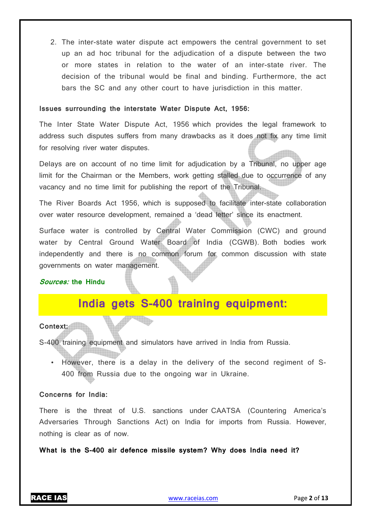2. The inter-state water dispute act empowers the central government to set up an ad hoc tribunal for the adjudication of a dispute between the two or more states in relation to the water of an inter-state river. The decision of the tribunal would be final and binding. Furthermore, the act bars the SC and any other court to have jurisdiction in this matter.

#### **Issues surrounding the interstate Water Dispute Act, 1956:**

The Inter State Water Dispute Act, 1956 which provides the legal framework to address such disputes suffers from many drawbacks as it does not fix any time limit for resolving river water disputes.

Delays are on account of no time limit for adjudication by a Tribunal, no upper age limit for the Chairman or the Members, work getting stalled due to occurrence of any vacancy and no time limit for publishing the report of the Tribunal.

The River Boards Act 1956, which is supposed to facilitate inter-state collaboration over water resource development, remained a 'dead letter' since its enactment.

Surface water is controlled by Central Water Commission (CWC) and ground water by Central Ground Water Board of India (CGWB). Both bodies work independently and there is no common forum for common discussion with state governments on water management.

#### **Sources: the Hindu**

## **India gets S-400 training equipment:**

#### Context:

S-400 training equipment and simulators have arrived in India from Russia.

• However, there is a delay in the delivery of the second regiment of S-400 from Russia due to the ongoing war in Ukraine.

#### **Concerns for India:**

There is the threat of U.S. sanctions under CAATSA (Countering America's Adversaries Through Sanctions Act) on India for imports from Russia. However, nothing is clear as of now.

**What is the S-400 air defence missile system? Why does India need it?**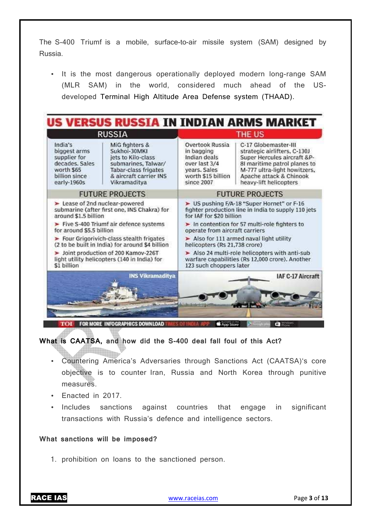The S-400 Triumf is a mobile, surface-to-air missile system (SAM) designed by Russia.

• It is the most dangerous operationally deployed modern long-range SAM (MLR SAM) in the world, considered much ahead of the USdeveloped Terminal High Altitude Area Defense system (THAAD).



### **What is CAATSA, and how did the S-400 deal fall foul of this Act?**

- Countering America's Adversaries through Sanctions Act (CAATSA)'s core objective is to counter Iran, Russia and North Korea through punitive measures.
- Enacted in 2017.
- Includes sanctions against countries that engage in significant transactions with Russia's defence and intelligence sectors.

#### **What sanctions will be imposed?**

1. prohibition on loans to the sanctioned person.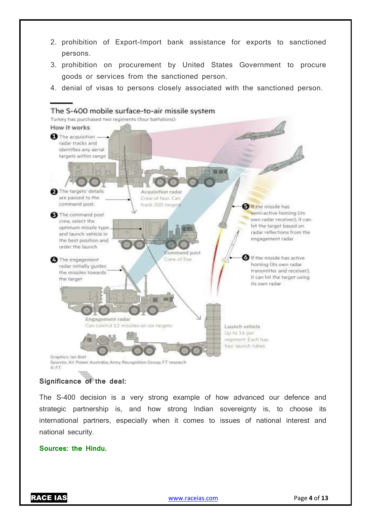- 2. prohibition of Export-Import bank assistance for exports to sanctioned persons.
- 3. prohibition on procurement by United States Government to procure goods or services from the sanctioned person.
- 4. denial of visas to persons closely associated with the sanctioned person.



#### **Significance of the deal:**

The S-400 decision is a very strong example of how advanced our defence and strategic partnership is, and how strong Indian sovereignty is, to choose its international partners, especially when it comes to issues of national interest and national security.

#### **Sources: the Hindu.**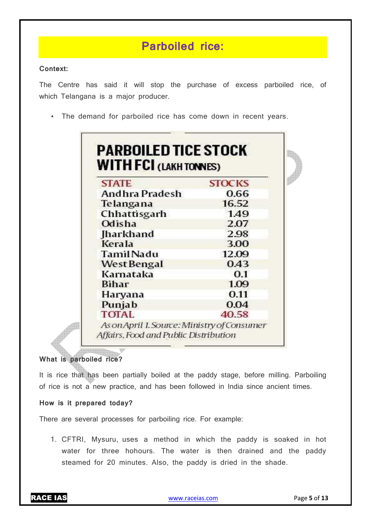# **Parboiled rice:**

#### **Context:**

The Centre has said it will stop the purchase of excess parboiled rice, of which Telangana is a major producer.

• The demand for parboiled rice has come down in recent years.

| <b>STATE</b>          | <b>STOCKS</b> |
|-----------------------|---------------|
| <b>Andhra Pradesh</b> | 0.66          |
| Telangana             | 16.52         |
| Chhattisgarh          | 1.49          |
| Odisha                | 2.07          |
| <b>Iharkhand</b>      | 2.98          |
| Kerala                | 3.00          |
| <b>TamilNadu</b>      | 12.09         |
| West Bengal           | 0.43          |
| Karnataka             | 0.1           |
| <b>Bihar</b>          | 1.09          |
| Haryana               | 0.11          |
| Punjab                | 0.04          |
| <b>TOTAL</b>          | 40.58         |

### **What is parboiled rice?**

**All The Second Street** 

It is rice that has been partially boiled at the paddy stage, before milling. Parboiling of rice is not a new practice, and has been followed in India since ancient times.

### **How is it prepared today?**

There are several processes for parboiling rice. For example:

1. CFTRI, Mysuru, uses a method in which the paddy is soaked in hot water for three hohours. The water is then drained and the paddy steamed for 20 minutes. Also, the paddy is dried in the shade.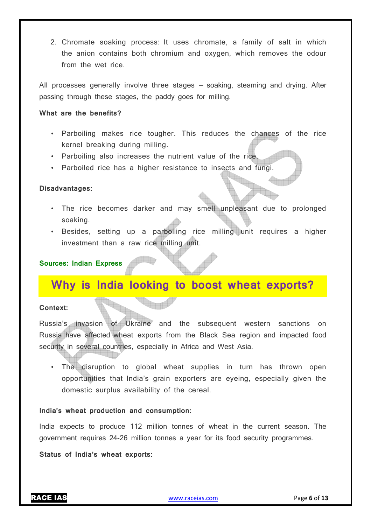2. Chromate soaking process: It uses chromate, a family of salt in which the anion contains both chromium and oxygen, which removes the odour from the wet rice.

All processes generally involve three stages — soaking, steaming and drying. After passing through these stages, the paddy goes for milling.

#### **What are the benefits?**

- Parboiling makes rice tougher. This reduces the chances of the rice kernel breaking during milling.
- Parboiling also increases the nutrient value of the rice.
- Parboiled rice has a higher resistance to insects and fungi.

#### **Disadvantages:**

- The rice becomes darker and may smell unpleasant due to prolonged soaking.
- Besides, setting up a parboiling rice milling unit requires a higher investment than a raw rice milling unit.

#### **Sources: Indian Express**

### **Why is India looking to boost wheat exports?**

#### **Context:**

Russia's invasion of Ukraine and the subsequent western sanctions on Russia have affected wheat exports from the Black Sea region and impacted food security in several countries, especially in Africa and West Asia.

• The disruption to global wheat supplies in turn has thrown open opportunities that India's grain exporters are eyeing, especially given the domestic surplus availability of the cereal.

#### **India's wheat production and consumption:**

India expects to produce 112 million tonnes of wheat in the current season. The government requires 24-26 million tonnes a year for its food security programmes.

#### **Status of India's wheat exports:**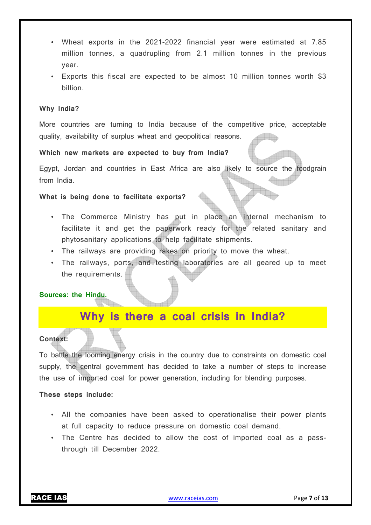- Wheat exports in the 2021-2022 financial year were estimated at 7.85 million tonnes, a quadrupling from 2.1 million tonnes in the previous year.
- Exports this fiscal are expected to be almost 10 million tonnes worth \$3 billion.

#### **Why India?**

More countries are turning to India because of the competitive price, acceptable quality, availability of surplus wheat and geopolitical reasons.

#### **Which new markets are expected to buy from India?**

Egypt, Jordan and countries in East Africa are also likely to source the foodgrain from India.

#### **What is being done to facilitate exports?**

- The Commerce Ministry has put in place an internal mechanism to facilitate it and get the paperwork ready for the related sanitary and phytosanitary applications to help facilitate shipments.
- The railways are providing rakes on priority to move the wheat.
- The railways, ports, and testing laboratories are all geared up to meet the requirements.

#### **Sources: the Hindu.**

## **Why is there a coal crisis in India?**

#### **Context:**

To battle the looming energy crisis in the country due to constraints on domestic coal supply, the central government has decided to take a number of steps to increase the use of imported coal for power generation, including for blending purposes.

#### **These steps include:**

- All the companies have been asked to operationalise their power plants at full capacity to reduce pressure on domestic coal demand.
- The Centre has decided to allow the cost of imported coal as a passthrough till December 2022.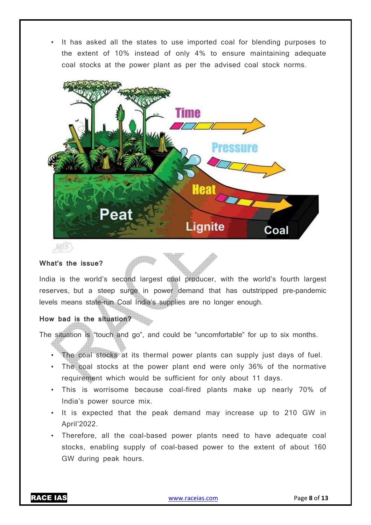• It has asked all the states to use imported coal for blending purposes to the extent of 10% instead of only 4% to ensure maintaining adequate coal stocks at the power plant as per the advised coal stock norms.



#### **What's the issue?**

India is the world's second largest coal producer, with the world's fourth largest reserves, but a steep surge in power demand that has outstripped pre-pandemic levels means state-run Coal India's supplies are no longer enough.

#### **How bad is the situation?**

The situation is "touch and go", and could be "uncomfortable" for up to six months.

- The coal stocks at its thermal power plants can supply just days of fuel.
- The coal stocks at the power plant end were only 36% of the normative requirement which would be sufficient for only about 11 days.
- This is worrisome because coal-fired plants make up nearly 70% of India's power source mix.
- It is expected that the peak demand may increase up to 210 GW in April'2022.
- Therefore, all the coal-based power plants need to have adequate coal stocks, enabling supply of coal-based power to the extent of about 160 GW during peak hours.

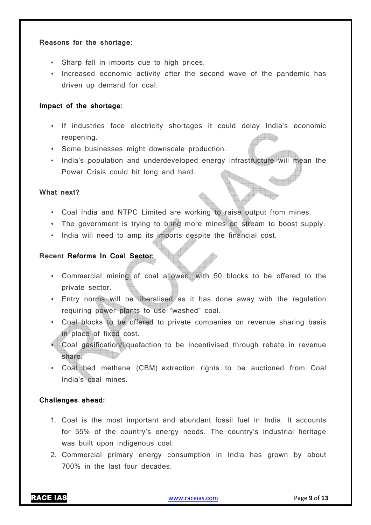#### **Reasons for the shortage:**

- Sharp fall in imports due to high prices.
- Increased economic activity after the second wave of the pandemic has driven up demand for coal.

#### **Impact of the shortage:**

- If industries face electricity shortages it could delay India's economic reopening.
- Some businesses might downscale production.
- India's population and underdeveloped energy infrastructure will mean the Power Crisis could hit long and hard.

#### **What next?**

- Coal India and NTPC Limited are working to raise output from mines.
- The government is trying to bring more mines on stream to boost supply.
- India will need to amp its imports despite the financial cost.

#### **Recent Reforms In Coal Sector:**

- Commercial mining of coal allowed, with 50 blocks to be offered to the private sector.
- Entry norms will be liberalised as it has done away with the regulation requiring power plants to use "washed" coal.
- Coal blocks to be offered to private companies on revenue sharing basis in place of fixed cost.
- Coal gasification/liquefaction to be incentivised through rebate in revenue share.
- Coal bed methane (CBM) extraction rights to be auctioned from Coal India's coal mines.

#### **Challenges ahead:**

- 1. Coal is the most important and abundant fossil fuel in India. It accounts for 55% of the country's energy needs. The country's industrial heritage was built upon indigenous coal.
- 2. Commercial primary energy consumption in India has grown by about 700% in the last four decades.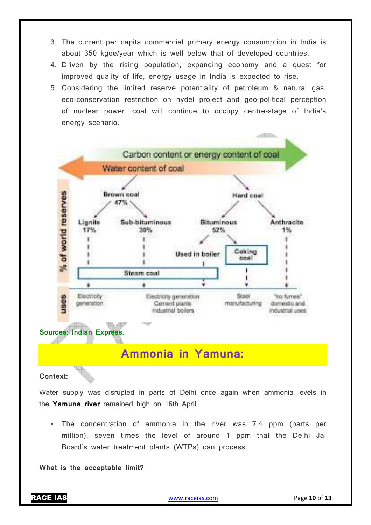- 3. The current per capita commercial primary energy consumption in India is about 350 kgoe/year which is well below that of developed countries.
- 4. Driven by the rising population, expanding economy and a quest for improved quality of life, energy usage in India is expected to rise.
- 5. Considering the limited reserve potentiality of petroleum & natural gas, eco-conservation restriction on hydel project and geo-political perception of nuclear power, coal will continue to occupy centre-stage of India's energy scenario.



# **Ammonia in Yamuna:**

**Context:** 

Water supply was disrupted in parts of Delhi once again when ammonia levels in the **Yamuna river** remained high on 16th April.

• The concentration of ammonia in the river was 7.4 ppm (parts per million), seven times the level of around 1 ppm that the Delhi Jal Board's water treatment plants (WTPs) can process.

**What is the acceptable limit?**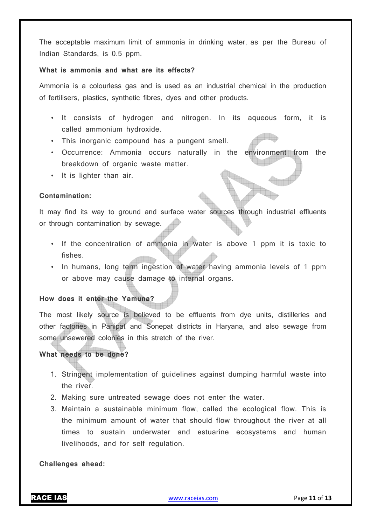The acceptable maximum limit of ammonia in drinking water, as per the Bureau of Indian Standards, is 0.5 ppm.

#### **What is ammonia and what are its effects?**

Ammonia is a colourless gas and is used as an industrial chemical in the production of fertilisers, plastics, synthetic fibres, dyes and other products.

- It consists of hydrogen and nitrogen. In its aqueous form, it is called ammonium hydroxide.
- This inorganic compound has a pungent smell.
- Occurrence: Ammonia occurs naturally in the environment from the breakdown of organic waste matter.
- It is lighter than air.

#### **Contamination:**

It may find its way to ground and surface water sources through industrial effluents or through contamination by sewage.

- If the concentration of ammonia in water is above 1 ppm it is toxic to fishes.
- In humans, long term ingestion of water having ammonia levels of 1 ppm or above may cause damage to internal organs.

### **How does it enter the Yamuna?**

The most likely source is believed to be effluents from dye units, distilleries and other factories in Panipat and Sonepat districts in Haryana, and also sewage from some unsewered colonies in this stretch of the river.

#### **What needs to be done?**

- 1. Stringent implementation of guidelines against dumping harmful waste into the river.
- 2. Making sure untreated sewage does not enter the water.
- 3. Maintain a sustainable minimum flow, called the ecological flow. This is the minimum amount of water that should flow throughout the river at all times to sustain underwater and estuarine ecosystems and human livelihoods, and for self regulation.

#### **Challenges ahead:**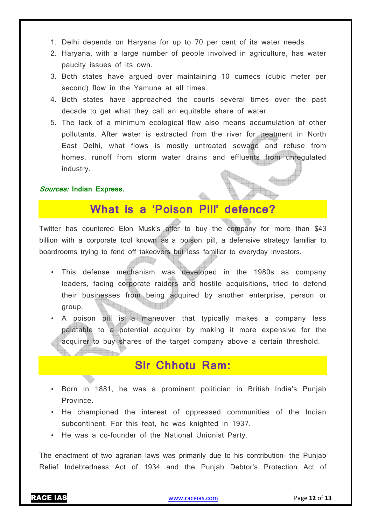- 1. Delhi depends on Haryana for up to 70 per cent of its water needs.
- 2. Haryana, with a large number of people involved in agriculture, has water paucity issues of its own.
- 3. Both states have argued over maintaining 10 cumecs (cubic meter per second) flow in the Yamuna at all times.
- 4. Both states have approached the courts several times over the past decade to get what they call an equitable share of water.
- 5. The lack of a minimum ecological flow also means accumulation of other pollutants. After water is extracted from the river for treatment in North East Delhi, what flows is mostly untreated sewage and refuse from homes, runoff from storm water drains and effluents from unregulated industry.

#### **Sources: Indian Express.**

### **What is a 'Poison Pill' defence?**

Twitter has countered Elon Musk's offer to buy the company for more than \$43 billion with a corporate tool known as a poison pill, a defensive strategy familiar to boardrooms trying to fend off takeovers but less familiar to everyday investors.

- This defense mechanism was developed in the 1980s as company leaders, facing corporate raiders and hostile acquisitions, tried to defend their businesses from being acquired by another enterprise, person or group.
- A poison pill is a maneuver that typically makes a company less palatable to a potential acquirer by making it more expensive for the acquirer to buy shares of the target company above a certain threshold.

### **Sir Chhotu Ram:**

- Born in 1881, he was a prominent politician in British India's Punjab Province.
- He championed the interest of oppressed communities of the Indian subcontinent. For this feat, he was knighted in 1937.
- He was a co-founder of the National Unionist Party.

The enactment of two agrarian laws was primarily due to his contribution- the Punjab Relief Indebtedness Act of 1934 and the Punjab Debtor's Protection Act of